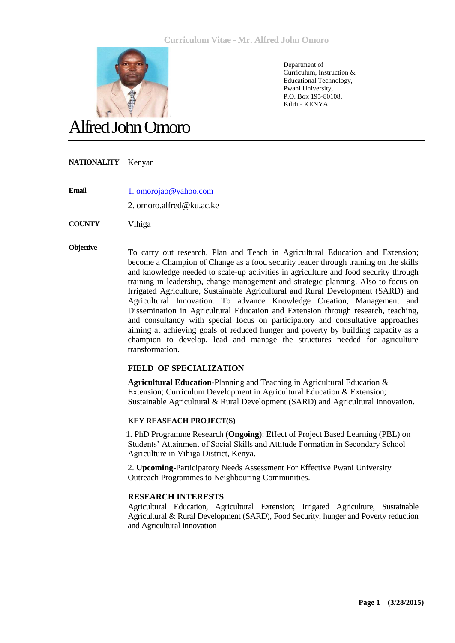

Department of Curriculum, Instruction & Educational Technology, Pwani University, P.O. Box 195-80108, Kilifi - KENYA

# Alfred John Omoro

#### **NATIONALITY** Kenyan

**Email** [1. omorojao@yahoo.com](mailto:1.%20omorojao@yahoo.com)

2. omoro.alfred@ku.ac.ke

**COUNTY** Vihiga

**Objective** To carry out research, Plan and Teach in Agricultural Education and Extension; become a Champion of Change as a food security leader through training on the skills and knowledge needed to scale-up activities in agriculture and food security through training in leadership, change management and strategic planning. Also to focus on Irrigated Agriculture, Sustainable Agricultural and Rural Development (SARD) and Agricultural Innovation. To advance Knowledge Creation, Management and Dissemination in Agricultural Education and Extension through research, teaching, and consultancy with special focus on participatory and consultative approaches aiming at achieving goals of reduced hunger and poverty by building capacity as a champion to develop, lead and manage the structures needed for agriculture transformation.

#### **FIELD OF SPECIALIZATION**

**Agricultural Education**-Planning and Teaching in Agricultural Education & Extension; Curriculum Development in Agricultural Education & Extension; Sustainable Agricultural & Rural Development (SARD) and Agricultural Innovation.

#### **KEY REASEACH PROJECT(S)**

1. PhD Programme Research (**Ongoing**): Effect of Project Based Learning (PBL) on Students' Attainment of Social Skills and Attitude Formation in Secondary School Agriculture in Vihiga District, Kenya.

2. **Upcoming**-Participatory Needs Assessment For Effective Pwani University Outreach Programmes to Neighbouring Communities.

#### **RESEARCH INTERESTS**

Agricultural Education, Agricultural Extension; Irrigated Agriculture, Sustainable Agricultural & Rural Development (SARD), Food Security, hunger and Poverty reduction and Agricultural Innovation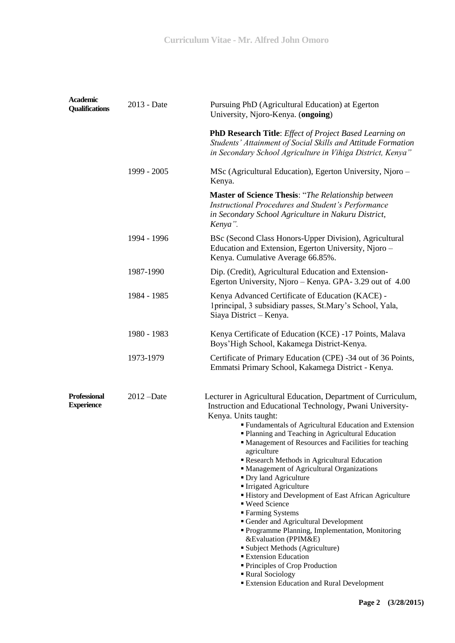| <b>Academic</b><br><b>Qualifications</b> | 2013 - Date   | Pursuing PhD (Agricultural Education) at Egerton<br>University, Njoro-Kenya. (ongoing)                                                                                                                                                                                                                                                                                                                                                                                                                                                                                                                                                                                                                                                                                                                                                                                                    |
|------------------------------------------|---------------|-------------------------------------------------------------------------------------------------------------------------------------------------------------------------------------------------------------------------------------------------------------------------------------------------------------------------------------------------------------------------------------------------------------------------------------------------------------------------------------------------------------------------------------------------------------------------------------------------------------------------------------------------------------------------------------------------------------------------------------------------------------------------------------------------------------------------------------------------------------------------------------------|
|                                          |               | <b>PhD Research Title:</b> Effect of Project Based Learning on<br>Students' Attainment of Social Skills and Attitude Formation<br>in Secondary School Agriculture in Vihiga District, Kenya"                                                                                                                                                                                                                                                                                                                                                                                                                                                                                                                                                                                                                                                                                              |
|                                          | 1999 - 2005   | MSc (Agricultural Education), Egerton University, Njoro –<br>Kenya.                                                                                                                                                                                                                                                                                                                                                                                                                                                                                                                                                                                                                                                                                                                                                                                                                       |
|                                          |               | <b>Master of Science Thesis: "The Relationship between</b><br><b>Instructional Procedures and Student's Performance</b><br>in Secondary School Agriculture in Nakuru District,<br>Kenya".                                                                                                                                                                                                                                                                                                                                                                                                                                                                                                                                                                                                                                                                                                 |
|                                          | 1994 - 1996   | BSc (Second Class Honors-Upper Division), Agricultural<br>Education and Extension, Egerton University, Njoro -<br>Kenya. Cumulative Average 66.85%.                                                                                                                                                                                                                                                                                                                                                                                                                                                                                                                                                                                                                                                                                                                                       |
|                                          | 1987-1990     | Dip. (Credit), Agricultural Education and Extension-<br>Egerton University, Njoro – Kenya. GPA-3.29 out of 4.00                                                                                                                                                                                                                                                                                                                                                                                                                                                                                                                                                                                                                                                                                                                                                                           |
|                                          | 1984 - 1985   | Kenya Advanced Certificate of Education (KACE) -<br>1 principal, 3 subsidiary passes, St.Mary's School, Yala,<br>Siaya District - Kenya.                                                                                                                                                                                                                                                                                                                                                                                                                                                                                                                                                                                                                                                                                                                                                  |
|                                          | 1980 - 1983   | Kenya Certificate of Education (KCE) -17 Points, Malava<br>Boys'High School, Kakamega District-Kenya.                                                                                                                                                                                                                                                                                                                                                                                                                                                                                                                                                                                                                                                                                                                                                                                     |
|                                          | 1973-1979     | Certificate of Primary Education (CPE) -34 out of 36 Points,<br>Emmatsi Primary School, Kakamega District - Kenya.                                                                                                                                                                                                                                                                                                                                                                                                                                                                                                                                                                                                                                                                                                                                                                        |
| <b>Professional</b><br><b>Experience</b> | $2012 - Date$ | Lecturer in Agricultural Education, Department of Curriculum,<br>Instruction and Educational Technology, Pwani University-<br>Kenya. Units taught:<br>■ Fundamentals of Agricultural Education and Extension<br>" Planning and Teaching in Agricultural Education<br>" Management of Resources and Facilities for teaching<br>agriculture<br>Research Methods in Agricultural Education<br>" Management of Agricultural Organizations<br>• Dry land Agriculture<br>Irrigated Agriculture<br>History and Development of East African Agriculture<br>■ Weed Science<br>■ Farming Systems<br>Gender and Agricultural Development<br>" Programme Planning, Implementation, Monitoring<br>&Evaluation (PPIM&E)<br>· Subject Methods (Agriculture)<br><b>Extension Education</b><br><b>Principles of Crop Production</b><br>Rural Sociology<br><b>Extension Education and Rural Development</b> |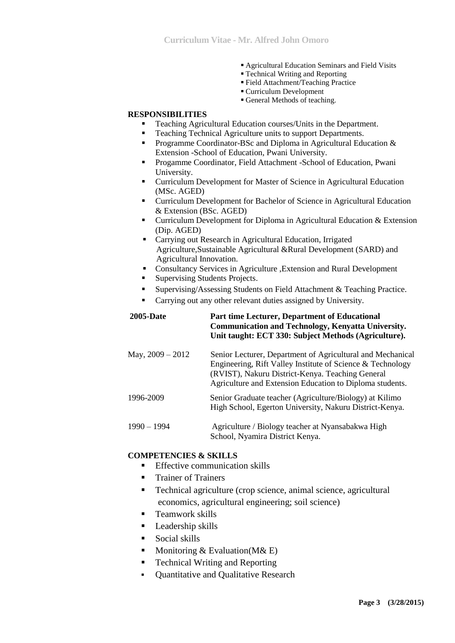- Agricultural Education Seminars and Field Visits
- Technical Writing and Reporting
- Field Attachment/Teaching Practice
- Curriculum Development
- General Methods of teaching.

#### **RESPONSIBILITIES**

- Teaching Agricultural Education courses/Units in the Department.
- Teaching Technical Agriculture units to support Departments.
- **Programme Coordinator-BSc and Diploma in Agricultural Education**  $\&$ Extension -School of Education, Pwani University.
- Progamme Coordinator, Field Attachment -School of Education, Pwani University.
- Curriculum Development for Master of Science in Agricultural Education (MSc. AGED)
- Curriculum Development for Bachelor of Science in Agricultural Education & Extension (BSc. AGED)
- **Curriculum Development for Diploma in Agricultural Education & Extension** (Dip. AGED)
- Carrying out Research in Agricultural Education, Irrigated Agriculture,Sustainable Agricultural &Rural Development (SARD) and Agricultural Innovation.
- Consultancy Services in Agriculture ,Extension and Rural Development
- Supervising Students Projects.
- Supervising/Assessing Students on Field Attachment & Teaching Practice.
- Carrying out any other relevant duties assigned by University.

| <b>2005-Date</b> | <b>Part time Lecturer, Department of Educational</b><br><b>Communication and Technology, Kenyatta University.</b><br>Unit taught: ECT 330: Subject Methods (Agriculture).                                                                |
|------------------|------------------------------------------------------------------------------------------------------------------------------------------------------------------------------------------------------------------------------------------|
| May, 2009 - 2012 | Senior Lecturer, Department of Agricultural and Mechanical<br>Engineering, Rift Valley Institute of Science & Technology<br>(RVIST), Nakuru District-Kenya. Teaching General<br>Agriculture and Extension Education to Diploma students. |
| 1996-2009        | Senior Graduate teacher (Agriculture/Biology) at Kilimo<br>High School, Egerton University, Nakuru District-Kenya.                                                                                                                       |
| $1990 - 1994$    | Agriculture / Biology teacher at Nyansabakwa High<br>School, Nyamira District Kenya.                                                                                                                                                     |

## **COMPETENCIES & SKILLS**

- **Effective communication skills**
- **Trainer of Trainers**
- Technical agriculture (crop science, animal science, agricultural economics, agricultural engineering; soil science)
- **Teamwork skills**
- **Leadership skills**
- **Social skills**
- Monitoring  $& Evaluation(M&E)$
- Technical Writing and Reporting
- Quantitative and Qualitative Research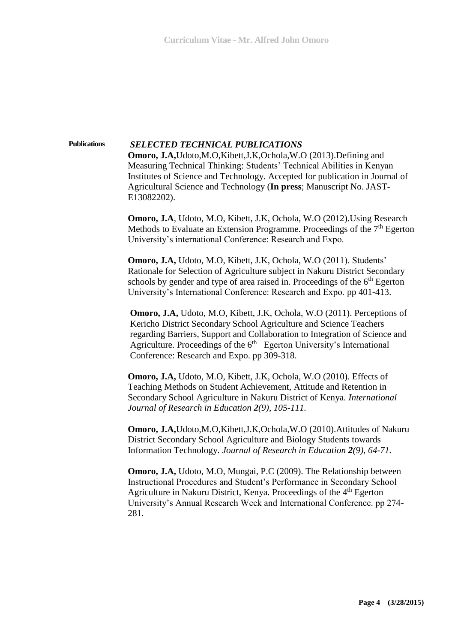## **Publications** *SELECTED TECHNICAL PUBLICATIONS*

**Omoro, J.A,**Udoto,M.O,Kibett,J.K,Ochola,W.O (2013).Defining and Measuring Technical Thinking: Students' Technical Abilities in Kenyan Institutes of Science and Technology. Accepted for publication in Journal of Agricultural Science and Technology (**In press**; Manuscript No. JAST-E13082202).

**Omoro, J.A**, Udoto, M.O, Kibett, J.K, Ochola, W.O (2012).Using Research Methods to Evaluate an Extension Programme. Proceedings of the 7<sup>th</sup> Egerton University's international Conference: Research and Expo.

**Omoro, J.A,** Udoto, M.O, Kibett, J.K, Ochola, W.O (2011). Students' Rationale for Selection of Agriculture subject in Nakuru District Secondary schools by gender and type of area raised in. Proceedings of the  $6<sup>th</sup>$  Egerton University's International Conference: Research and Expo. pp 401-413.

**Omoro, J.A,** Udoto, M.O, Kibett, J.K, Ochola, W.O (2011). Perceptions of Kericho District Secondary School Agriculture and Science Teachers regarding Barriers, Support and Collaboration to Integration of Science and Agriculture. Proceedings of the  $6<sup>th</sup>$  Egerton University's International Conference: Research and Expo. pp 309-318.

**Omoro, J.A,** Udoto, M.O, Kibett, J.K, Ochola, W.O (2010). Effects of Teaching Methods on Student Achievement, Attitude and Retention in Secondary School Agriculture in Nakuru District of Kenya. *International Journal of Research in Education 2(9), 105-111.*

**Omoro, J.A,**Udoto,M.O,Kibett,J.K,Ochola,W.O (2010).Attitudes of Nakuru District Secondary School Agriculture and Biology Students towards Information Technology. *Journal of Research in Education 2(9), 64-71.*

**Omoro, J.A,** Udoto, M.O, Mungai, P.C (2009). The Relationship between Instructional Procedures and Student's Performance in Secondary School Agriculture in Nakuru District, Kenya. Proceedings of the 4<sup>th</sup> Egerton University's Annual Research Week and International Conference. pp 274- 281.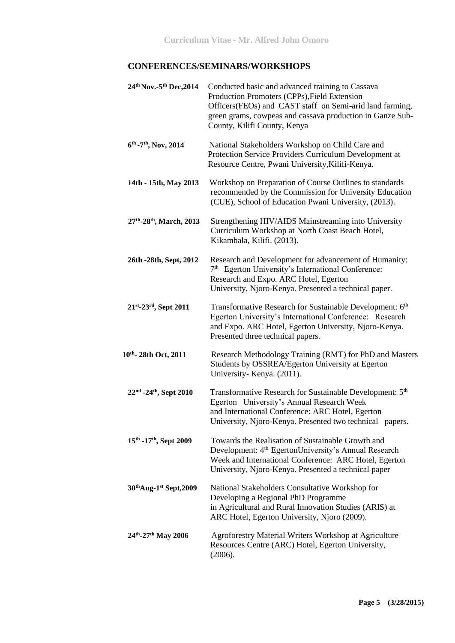## **CONFERENCES/SEMINARS/WORKSHOPS**

| 24 <sup>th</sup> Nov.-5 <sup>th</sup> Dec, 2014 | Conducted basic and advanced training to Cassava<br>Production Promoters (CPPs), Field Extension<br>Officers(FEOs) and CAST staff on Semi-arid land farming,<br>green grams, cowpeas and cassava production in Ganze Sub-<br>County, Kilifi County, Kenya |
|-------------------------------------------------|-----------------------------------------------------------------------------------------------------------------------------------------------------------------------------------------------------------------------------------------------------------|
| $6^{th}$ -7 <sup>th</sup> , Nov, 2014           | National Stakeholders Workshop on Child Care and<br>Protection Service Providers Curriculum Development at<br>Resource Centre, Pwani University, Kilifi-Kenya.                                                                                            |
| 14th - 15th, May 2013                           | Workshop on Preparation of Course Outlines to standards<br>recommended by the Commission for University Education<br>(CUE), School of Education Pwani University, (2013).                                                                                 |
| 27th-28th, March, 2013                          | Strengthening HIV/AIDS Mainstreaming into University<br>Curriculum Workshop at North Coast Beach Hotel,<br>Kikambala, Kilifi. (2013).                                                                                                                     |
| 26th -28th, Sept, 2012                          | Research and Development for advancement of Humanity:<br>7 <sup>th</sup> Egerton University's International Conference:<br>Research and Expo. ARC Hotel, Egerton<br>University, Njoro-Kenya. Presented a technical paper.                                 |
| 21st-23rd, Sept 2011                            | Transformative Research for Sustainable Development: 6 <sup>th</sup><br>Egerton University's International Conference: Research<br>and Expo. ARC Hotel, Egerton University, Njoro-Kenya.<br>Presented three technical papers.                             |
| 10th-28th Oct, 2011                             | Research Methodology Training (RMT) for PhD and Masters<br>Students by OSSREA/Egerton University at Egerton<br>University-Kenya. (2011).                                                                                                                  |
| 22nd -24th, Sept 2010                           | Transformative Research for Sustainable Development: 5 <sup>th</sup><br>Egerton University's Annual Research Week<br>and International Conference: ARC Hotel, Egerton<br>University, Njoro-Kenya. Presented two technical papers.                         |
| 15 <sup>th</sup> -17 <sup>th</sup> , Sept 2009  | Towards the Realisation of Sustainable Growth and<br>Development: 4 <sup>th</sup> EgertonUniversity's Annual Research<br>Week and International Conference: ARC Hotel, Egerton<br>University, Njoro-Kenya. Presented a technical paper                    |
| 30th Aug-1st Sept, 2009                         | National Stakeholders Consultative Workshop for<br>Developing a Regional PhD Programme<br>in Agricultural and Rural Innovation Studies (ARIS) at<br>ARC Hotel, Egerton University, Njoro (2009).                                                          |
| 24th-27th May 2006                              | Agroforestry Material Writers Workshop at Agriculture<br>Resources Centre (ARC) Hotel, Egerton University,<br>(2006).                                                                                                                                     |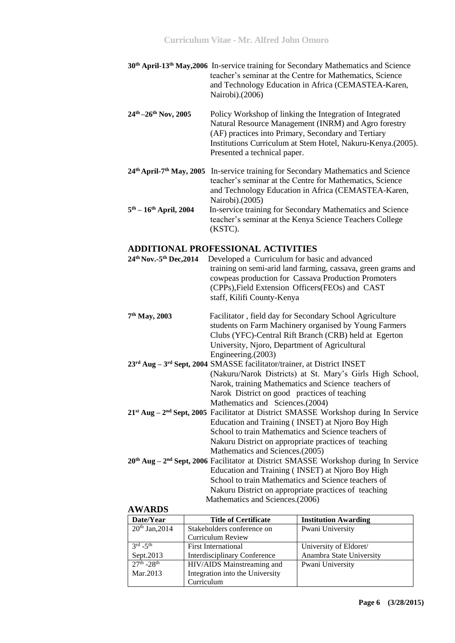|                                        | $30th$ April-13 <sup>th</sup> May, 2006 In-service training for Secondary Mathematics and Science |
|----------------------------------------|---------------------------------------------------------------------------------------------------|
|                                        | teacher's seminar at the Centre for Mathematics, Science                                          |
|                                        | and Technology Education in Africa (CEMASTEA-Karen,                                               |
|                                        | Nairobi). (2006)                                                                                  |
|                                        |                                                                                                   |
| $24$ th $26$ th N <sub>ov</sub> $2005$ | Doliny Workshop of linking the Integration of Integrated                                          |

| $24^{\rm th}$ – $26^{\rm th}$ Nov, 2005 | Policy Workshop of linking the Integration of Integrated     |
|-----------------------------------------|--------------------------------------------------------------|
|                                         | Natural Resource Management (INRM) and Agro forestry         |
|                                         | (AF) practices into Primary, Secondary and Tertiary          |
|                                         | Institutions Curriculum at Stem Hotel, Nakuru-Kenya. (2005). |
|                                         | Presented a technical paper.                                 |
|                                         |                                                              |

24<sup>th</sup> **April-7<sup>th</sup> May, 2005** In-service training for Secondary Mathematics and Science teacher's seminar at the Centre for Mathematics, Science and Technology Education in Africa (CEMASTEA-Karen, Nairobi).(2005)  $5^{\text{th}} - 16^{\text{th}}$  April, 2004 **th – 16th April, 2004** In-service training for Secondary Mathematics and Science teacher's seminar at the Kenya Science Teachers College

#### **ADDITIONAL PROFESSIONAL ACTIVITIES**

(KSTC).

| 24 <sup>th</sup> Nov.-5 <sup>th</sup> Dec, 2014 | Developed a Curriculum for basic and advanced<br>training on semi-arid land farming, cassava, green grams and<br>cowpeas production for Cassava Production Promoters<br>(CPPs), Field Extension Officers (FEOs) and CAST<br>staff, Kilifi County-Kenya |
|-------------------------------------------------|--------------------------------------------------------------------------------------------------------------------------------------------------------------------------------------------------------------------------------------------------------|
| $7th$ May, 2003                                 | Facilitator, field day for Secondary School Agriculture<br>students on Farm Machinery organised by Young Farmers<br>Clubs (YFC)-Central Rift Branch (CRB) held at Egerton<br>University, Njoro, Department of Agricultural<br>Engineering.(2003)       |
|                                                 | 23 <sup>rd</sup> Aug - 3 <sup>rd</sup> Sept, 2004 SMASSE facilitator/trainer, at District INSET                                                                                                                                                        |
|                                                 | (Nakuru/Narok Districts) at St. Mary's Girls High School,                                                                                                                                                                                              |
|                                                 | Narok, training Mathematics and Science teachers of                                                                                                                                                                                                    |
|                                                 | Narok District on good practices of teaching                                                                                                                                                                                                           |
|                                                 | Mathematics and Sciences. (2004)                                                                                                                                                                                                                       |
|                                                 | $21st$ Aug $-2nd$ Sept, 2005 Facilitator at District SMASSE Workshop during In Service                                                                                                                                                                 |
|                                                 | Education and Training (INSET) at Njoro Boy High                                                                                                                                                                                                       |
|                                                 | School to train Mathematics and Science teachers of                                                                                                                                                                                                    |
|                                                 | Nakuru District on appropriate practices of teaching                                                                                                                                                                                                   |
|                                                 | Mathematics and Sciences. (2005)                                                                                                                                                                                                                       |
|                                                 | 20 <sup>th</sup> Aug - 2 <sup>nd</sup> Sept, 2006 Facilitator at District SMASSE Workshop during In Service                                                                                                                                            |
|                                                 | Education and Training (INSET) at Njoro Boy High                                                                                                                                                                                                       |
|                                                 | School to train Mathematics and Science teachers of                                                                                                                                                                                                    |
|                                                 | Nakuru District on appropriate practices of teaching                                                                                                                                                                                                   |
|                                                 | Mathematics and Sciences. (2006)                                                                                                                                                                                                                       |

#### **AWARDS**

| Date/Year                       | <b>Title of Certificate</b>         | <b>Institution Awarding</b> |
|---------------------------------|-------------------------------------|-----------------------------|
| $20th$ Jan, 2014                | Stakeholders conference on          | Pwani University            |
|                                 | Curriculum Review                   |                             |
| $3^{\text{rd}} - 5^{\text{th}}$ | <b>First International</b>          | University of Eldoret/      |
| Sept.2013                       | <b>Interdisciplinary Conference</b> | Anambra State University    |
| $27^{th}$ -28 <sup>th</sup>     | HIV/AIDS Mainstreaming and          | Pwani University            |
| Mar.2013                        | Integration into the University     |                             |
|                                 | Curriculum                          |                             |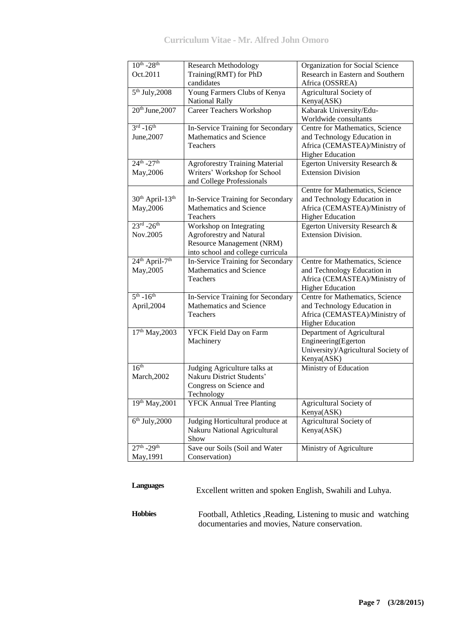| $10^{th}$ -28 <sup>th</sup>             | <b>Research Methodology</b>           | Organization for Social Science     |
|-----------------------------------------|---------------------------------------|-------------------------------------|
| Oct.2011                                | Training(RMT) for PhD                 | Research in Eastern and Southern    |
|                                         | candidates                            | Africa (OSSREA)                     |
| 5 <sup>th</sup> July, 2008              | Young Farmers Clubs of Kenya          | Agricultural Society of             |
|                                         | <b>National Rally</b>                 | Kenya(ASK)                          |
| 20 <sup>th</sup> June, 2007             |                                       |                                     |
|                                         | <b>Career Teachers Workshop</b>       | Kabarak University/Edu-             |
|                                         |                                       | Worldwide consultants               |
| $3^{\text{rd}} - 16^{\text{th}}$        | In-Service Training for Secondary     | Centre for Mathematics, Science     |
| June, 2007                              | Mathematics and Science               | and Technology Education in         |
|                                         | <b>Teachers</b>                       | Africa (CEMASTEA)/Ministry of       |
|                                         |                                       | <b>Higher Education</b>             |
| $24^{th} - 27^{th}$                     | <b>Agroforestry Training Material</b> | Egerton University Research &       |
| May, 2006                               | Writers' Workshop for School          | <b>Extension Division</b>           |
|                                         | and College Professionals             |                                     |
|                                         |                                       | Centre for Mathematics, Science     |
| 30 <sup>th</sup> April-13 <sup>th</sup> | In-Service Training for Secondary     | and Technology Education in         |
| May, 2006                               | Mathematics and Science               | Africa (CEMASTEA)/Ministry of       |
|                                         | <b>Teachers</b>                       | <b>Higher Education</b>             |
| $23^{rd} - 26^{th}$                     | Workshop on Integrating               | Egerton University Research &       |
| Nov.2005                                | Agroforestry and Natural              | <b>Extension Division.</b>          |
|                                         | Resource Management (NRM)             |                                     |
|                                         | into school and college curricula     |                                     |
| 24 <sup>th</sup> April-7 <sup>th</sup>  | In-Service Training for Secondary     | Centre for Mathematics, Science     |
| May, 2005                               | Mathematics and Science               | and Technology Education in         |
|                                         | <b>Teachers</b>                       | Africa (CEMASTEA)/Ministry of       |
|                                         |                                       | <b>Higher Education</b>             |
| $5^{th} - 16^{th}$                      | In-Service Training for Secondary     | Centre for Mathematics, Science     |
| April,2004                              | Mathematics and Science               | and Technology Education in         |
|                                         | Teachers                              | Africa (CEMASTEA)/Ministry of       |
|                                         |                                       | <b>Higher Education</b>             |
| 17th May, 2003                          | YFCK Field Day on Farm                | Department of Agricultural          |
|                                         | Machinery                             | Engineering(Egerton                 |
|                                         |                                       | University)/Agricultural Society of |
|                                         |                                       | Kenya(ASK)                          |
| 16 <sup>th</sup>                        | Judging Agriculture talks at          | Ministry of Education               |
| March, 2002                             | Nakuru District Students'             |                                     |
|                                         | Congress on Science and               |                                     |
|                                         | Technology                            |                                     |
| $19th$ May, 2001                        | <b>YFCK</b> Annual Tree Planting      | Agricultural Society of             |
|                                         |                                       | Kenya(ASK)                          |
| $6th$ July, 2000                        | Judging Horticultural produce at      | Agricultural Society of             |
|                                         | Nakuru National Agricultural          | Kenya(ASK)                          |
|                                         | Show                                  |                                     |
| $27^{th} - 29^{th}$                     | Save our Soils (Soil and Water        | Ministry of Agriculture             |
|                                         |                                       |                                     |
| May, 1991                               | Conservation)                         |                                     |

**Languages** Excellent written and spoken English, Swahili and Luhya.

**Hobbies** Football, Athletics ,Reading, Listening to music and watching documentaries and movies, Nature conservation.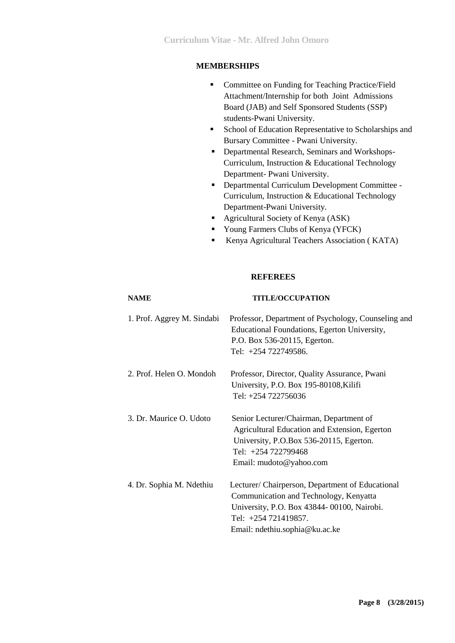## **MEMBERSHIPS**

- Committee on Funding for Teaching Practice/Field Attachment/Internship for both Joint Admissions Board (JAB) and Self Sponsored Students (SSP) students-Pwani University.
- **School of Education Representative to Scholarships and** Bursary Committee - Pwani University.
- Departmental Research, Seminars and Workshops-Curriculum, Instruction & Educational Technology Department- Pwani University.
- Departmental Curriculum Development Committee Curriculum, Instruction & Educational Technology Department-Pwani University.
- Agricultural Society of Kenya (ASK)
- Young Farmers Clubs of Kenya (YFCK)
- Kenya Agricultural Teachers Association (KATA)

#### **REFEREES**

#### **NAME TITLE/OCCUPATION**

| 1. Prof. Aggrey M. Sindabi | Professor, Department of Psychology, Counseling and<br>Educational Foundations, Egerton University,<br>P.O. Box 536-20115, Egerton.<br>Tel: +254 722749586.                                        |
|----------------------------|----------------------------------------------------------------------------------------------------------------------------------------------------------------------------------------------------|
| 2. Prof. Helen O. Mondoh   | Professor, Director, Quality Assurance, Pwani<br>University, P.O. Box 195-80108, Kilifi<br>Tel: +254 722756036                                                                                     |
| 3. Dr. Maurice O. Udoto    | Senior Lecturer/Chairman, Department of<br>Agricultural Education and Extension, Egerton<br>University, P.O.Box 536-20115, Egerton.<br>Tel: +254 722799468<br>Email: mudoto@yahoo.com              |
| 4. Dr. Sophia M. Ndethiu   | Lecturer/ Chairperson, Department of Educational<br>Communication and Technology, Kenyatta<br>University, P.O. Box 43844-00100, Nairobi.<br>Tel: +254 721419857.<br>Email: ndethiu.sophia@ku.ac.ke |